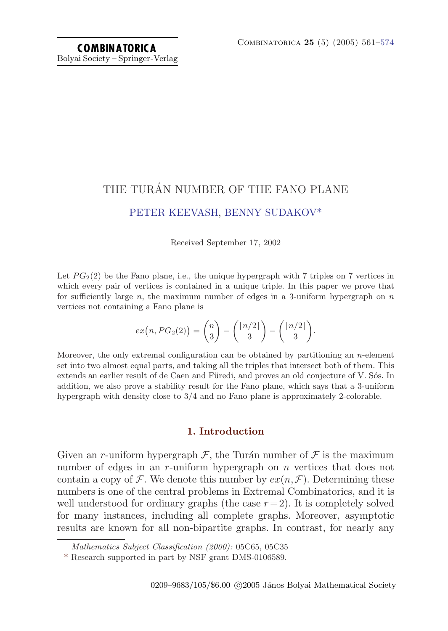# THE TURÁN NUMBER OF THE FANO PLANE [PETER KEEVASH](#page-13-0), [BENNY SUDAKOV\\*](#page-13-0)

Received September 17, 2002

Let  $PG<sub>2</sub>(2)$  be the Fano plane, i.e., the unique hypergraph with 7 triples on 7 vertices in which every pair of vertices is contained in a unique triple. In this paper we prove that for sufficiently large n, the maximum number of edges in a 3-uniform hypergraph on  $n$ vertices not containing a Fano plane is

$$
ex(n, PG_2(2)) = {n \choose 3} - {n/2 \choose 3} - {n/2 \choose 3}.
$$

Moreover, the only extremal configuration can be obtained by partitioning an n-element set into two almost equal parts, and taking all the triples that intersect both of them. This extends an earlier result of de Caen and Füredi, and proves an old conjecture of V. Sós. In addition, we also prove a stability result for the Fano plane, which says that a 3-uniform hypergraph with density close to 3/4 and no Fano plane is approximately 2-colorable.

# **1. Introduction**

Given an r-uniform hypergraph  $\mathcal{F}$ , the Turán number of  $\mathcal{F}$  is the maximum number of edges in an r-uniform hypergraph on n vertices that does not contain a copy of F. We denote this number by  $ex(n,\mathcal{F})$ . Determining these numbers is one of the central problems in Extremal Combinatorics, and it is well understood for ordinary graphs (the case  $r=2$ ). It is completely solved for many instances, including all complete graphs. Moreover, asymptotic results are known for all non-bipartite graphs. In contrast, for nearly any

Mathematics Subject Classification (2000): 05C65, 05C35

<sup>\*</sup> Research supported in part by NSF grant DMS-0106589.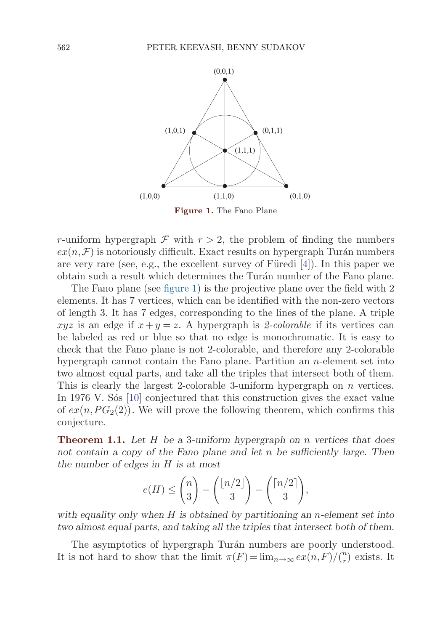<span id="page-1-0"></span>

r-uniform hypergraph  $\mathcal F$  with  $r > 2$ , the problem of finding the numbers  $ex(n,\mathcal{F})$  is notoriously difficult. Exact results on hypergraph Turán numbers are very rare (see, e.g., the excellent survey of Füredi  $[4]$  $[4]$  $[4]$ ). In this paper we obtain such a result which determines the Turán number of the Fano plane.

The Fano plane (see figure 1) is the projective plane over the field with 2 elements. It has 7 vertices, which can be identified with the non-zero vectors of length 3. It has 7 edges, corresponding to the lines of the plane. A triple xyz is an edge if  $x + y = z$ . A hypergraph is 2-colorable if its vertices can be labeled as red or blue so that no edge is monochromatic. It is easy to check that the Fano plane is not 2-colorable, and therefore any 2-colorable hypergraph cannot contain the Fano plane. Partition an  $n$ -element set into two almost equal parts, and take all the triples that intersect both of them. This is clearly the largest 2-colorable 3-uniform hypergraph on *n* vertices. In 1976 V. Sos [\[10\]](#page-13-0) conjectured that this construction gives the exact value of  $ex(n, PG_2(2))$ . We will prove the following theorem, which confirms this conjecture.

**Theorem 1.1.** *Let* H *be a* 3*-uniform hypergraph on* n *vertices that does not contain a copy of the Fano plane and let* n *be sufficiently large. Then the number of edges in* H *is at most*

$$
e(H) \le \binom{n}{3} - \binom{\lfloor n/2 \rfloor}{3} - \binom{\lceil n/2 \rceil}{3},
$$

*with equality only when* H *is obtained by partitioning an* n*-element set into two almost equal parts, and taking all the triples that intersect both of them.*

The asymptotics of hypergraph Turán numbers are poorly understood. It is not hard to show that the limit  $\pi(F) = \lim_{n \to \infty} e\overline{x(n, F)} / {n \choose r}$  exists. It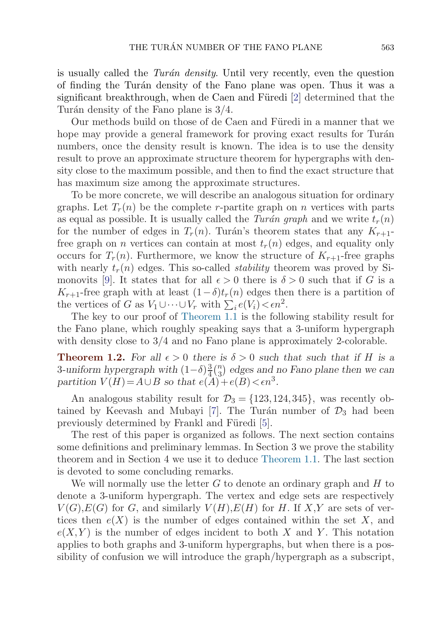<span id="page-2-0"></span>is usually called the Turán density. Until very recently, even the question of finding the Turán density of the Fano plane was open. Thus it was a significant breakthrough, when de Caen and Füredi  $[2]$  $[2]$  determined that the Turán density of the Fano plane is  $3/4$ .

Our methods build on those of de Caen and Füredi in a manner that we hope may provide a general framework for proving exact results for Turán numbers, once the density result is known. The idea is to use the density result to prove an approximate structure theorem for hypergraphs with density close to the maximum possible, and then to find the exact structure that has maximum size among the approximate structures.

To be more concrete, we will describe an analogous situation for ordinary graphs. Let  $T_r(n)$  be the complete r-partite graph on n vertices with parts as equal as possible. It is usually called the Turán graph and we write  $t_r(n)$ for the number of edges in  $T_r(n)$ . Turán's theorem states that any  $K_{r+1}$ free graph on *n* vertices can contain at most  $t_r(n)$  edges, and equality only occurs for  $T_r(n)$ . Furthermore, we know the structure of  $K_{r+1}$ -free graphs with nearly  $t_r(n)$  edges. This so-called *stability* theorem was proved by Si-monovits [\[9\]](#page-13-0). It states that for all  $\epsilon > 0$  there is  $\delta > 0$  such that if G is a  $K_{r+1}$ -free graph with at least  $(1-\delta)t_r(n)$  edges then there is a partition of the vertices of G as  $V_1 \cup \cdots \cup V_r$  with  $\sum_i e(V_i) < \epsilon n^2$ .

The key to our proof of [Theorem 1.1](#page-1-0) is the following stability result for the Fano plane, which roughly speaking says that a 3-uniform hypergraph with density close to 3/4 and no Fano plane is approximately 2-colorable.

**Theorem 1.2.** For all  $\epsilon > 0$  there is  $\delta > 0$  such that such that if H is a 3-uniform hypergraph with  $(1-\delta)\frac{3}{4}\binom{n}{3}$  edges and no Fano plane then we can *partition*  $V(H) = A \cup B$  *so that*  $e(A) + e(B) < \epsilon n^3$ .

An analogous stability result for  $\mathcal{D}_3 = \{123, 124, 345\}$ , was recently ob-tained by Keevash and Mubayi [[7](#page-13-0)]. The Turán number of  $\mathcal{D}_3$  had been previously determined by Frankl and Füredi [[5](#page-12-0)].

The rest of this paper is organized as follows. The next section contains some definitions and preliminary lemmas. In Section 3 we prove the stability theorem and in Section 4 we use it to deduce [Theorem 1.1](#page-1-0). The last section is devoted to some concluding remarks.

We will normally use the letter  $G$  to denote an ordinary graph and  $H$  to denote a 3-uniform hypergraph. The vertex and edge sets are respectively  $V(G), E(G)$  for G, and similarly  $V(H), E(H)$  for H. If X,Y are sets of vertices then  $e(X)$  is the number of edges contained within the set X, and  $e(X,Y)$  is the number of edges incident to both X and Y. This notation applies to both graphs and 3-uniform hypergraphs, but when there is a possibility of confusion we will introduce the graph/hypergraph as a subscript,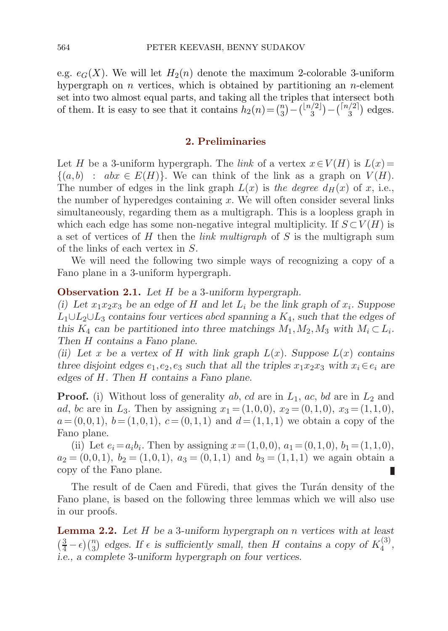<span id="page-3-0"></span>e.g.  $e_G(X)$ . We will let  $H_2(n)$  denote the maximum 2-colorable 3-uniform hypergraph on n vertices, which is obtained by partitioning an  $n$ -element set into two almost equal parts, and taking all the triples that intersect both of them. It is easy to see that it contains  $h_2(n) = \binom{n}{3} - \binom{\lfloor n/2 \rfloor}{3} - \binom{\lceil n/2 \rceil}{3}$  edges.

## **2. Preliminaries**

Let H be a 3-uniform hypergraph. The link of a vertex  $x \in V(H)$  is  $L(x)$ =  $\{(a, b) : abx \in E(H)\}.$  We can think of the link as a graph on  $V(H)$ . The number of edges in the link graph  $L(x)$  is the degree  $d_H(x)$  of x, i.e., the number of hyperedges containing  $x$ . We will often consider several links simultaneously, regarding them as a multigraph. This is a loopless graph in which each edge has some non-negative integral multiplicity. If  $S \subset V(H)$  is a set of vertices of  $H$  then the *link multigraph* of  $S$  is the multigraph sum of the links of each vertex in S.

We will need the following two simple ways of recognizing a copy of a Fano plane in a 3-uniform hypergraph.

## **Observation 2.1.** *Let* H *be a* 3*-uniform hypergraph.*

*(i)* Let  $x_1x_2x_3$  be an edge of H and let  $L_i$  be the link graph of  $x_i$ . Suppose L1∪L2∪L<sup>3</sup> *contains four vertices* abcd *spanning a* K4*, such that the edges of this*  $K_4$  *can be partitioned into three matchings*  $M_1, M_2, M_3$  *with*  $M_i \subset L_i$ *. Then* H *contains a Fano plane.*

*(ii)* Let x be a vertex of H with link graph  $L(x)$ . Suppose  $L(x)$  contains *three disjoint edges*  $e_1, e_2, e_3$  *such that all the triples*  $x_1x_2x_3$  *with*  $x_i \in e_i$  *are edges of* H*. Then* H *contains a Fano plane.*

**Proof.** (i) Without loss of generality ab, cd are in  $L_1$ , ac, bd are in  $L_2$  and *ad*, *bc* are in  $L_3$ . Then by assigning  $x_1 = (1,0,0), x_2 = (0,1,0), x_3 = (1,1,0),$  $a=(0,0,1), b=(1,0,1), c=(0,1,1)$  and  $d=(1,1,1)$  we obtain a copy of the Fano plane.

(ii) Let  $e_i = a_i b_i$ . Then by assigning  $x = (1,0,0), a_1 = (0,1,0), b_1 = (1,1,0),$  $a_2 = (0,0,1), b_2 = (1,0,1), a_3 = (0,1,1)$  and  $b_3 = (1,1,1)$  we again obtain a copy of the Fano plane.

The result of de Caen and Füredi, that gives the Turán density of the Fano plane, is based on the following three lemmas which we will also use in our proofs.

**Lemma 2.2.** *Let* H *be a* 3*-uniform hypergraph on* n *vertices with at least*  $\left(\frac{3}{4} - \epsilon\right) \binom{n}{3}$  edges. If  $\epsilon$  is sufficiently small, then H contains a copy of  $K_4^{(3)}$ , *i.e., a complete* 3*-uniform hypergraph on four vertices.*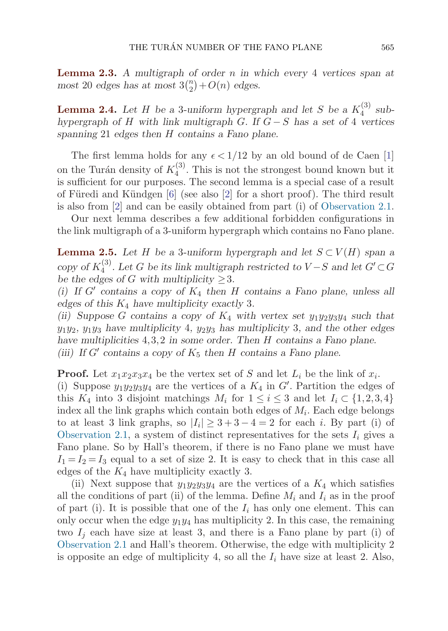<span id="page-4-0"></span>**Lemma 2.3.** *A multigraph of order* n *in which every* 4 *vertices span at* most 20 *edges has at most*  $3\binom{n}{2} + O(n)$  *edges.* 

**Lemma 2.4.** Let  $H$  be a 3-uniform hypergraph and let  $S$  be a  $K_4^{(3)}$  sub*hypergraph of* H *with link multigraph* G*. If* G − S *has a set of* 4 *vertices spanning* 21 *edges then* H *contains a Fano plane.*

The first lemma holds for any  $\epsilon < 1/12$  $\epsilon < 1/12$  $\epsilon < 1/12$  by an old bound of de Caen [1] on the Turán density of  $K_4^{(3)}$ . This is not the strongest bound known but it is sufficient for our purposes. The second lemma is a special case of a result of Füredi and Kündgen  $[6]$  $[6]$  $[6]$  (see also  $[2]$  $[2]$  for a short proof). The third result is also from [\[2](#page-12-0)] and can be easily obtained from part (i) of [Observation 2.1](#page-3-0).

Our next lemma describes a few additional forbidden configurations in the link multigraph of a 3-uniform hypergraph which contains no Fano plane.

**Lemma 2.5.** *Let* H *be a* 3*-uniform hypergraph and let*  $S \subset V(H)$  *span a copy of*  $K_4^{(3)}$ *. Let* G *be its link multigraph restricted to*  $V-S$  *and let*  $G' \subset G$ *be the edges of G with multiplicity*  $>3$ *.* 

*(i)* If G' contains a copy of  $K_4$  then H contains a Fano plane, unless all *edges of this* K<sup>4</sup> *have multiplicity exactly* 3*.*

*(ii)* Suppose G contains a copy of  $K_4$  with vertex set  $y_1y_2y_3y_4$  such that  $y_1y_2$ ,  $y_1y_3$  have multiplicity 4,  $y_2y_3$  has multiplicity 3, and the other edges *have multiplicities* 4,3,2 *in some order. Then* H *contains a Fano plane. (iii)* If G' contains a copy of  $K_5$  then H contains a Fano plane.

**Proof.** Let  $x_1x_2x_3x_4$  be the vertex set of S and let  $L_i$  be the link of  $x_i$ . (i) Suppose  $y_1y_2y_3y_4$  are the vertices of a  $K_4$  in  $G'$ . Partition the edges of this  $K_4$  into 3 disjoint matchings  $M_i$  for  $1 \leq i \leq 3$  and let  $I_i \subset \{1,2,3,4\}$ index all the link graphs which contain both edges of  $M_i$ . Each edge belongs to at least 3 link graphs, so  $|I_i| \geq 3+3-4=2$  for each i. By part (i) of [Observation 2.1,](#page-3-0) a system of distinct representatives for the sets  $I_i$  gives a Fano plane. So by Hall's theorem, if there is no Fano plane we must have  $I_1 = I_2 = I_3$  equal to a set of size 2. It is easy to check that in this case all edges of the  $K_4$  have multiplicity exactly 3.

(ii) Next suppose that  $y_1y_2y_3y_4$  are the vertices of a  $K_4$  which satisfies all the conditions of part (ii) of the lemma. Define  $M_i$  and  $I_i$  as in the proof of part (i). It is possible that one of the  $I_i$  has only one element. This can only occur when the edge  $y_1y_4$  has multiplicity 2. In this case, the remaining two  $I_i$  each have size at least 3, and there is a Fano plane by part (i) of [Observation 2.1](#page-3-0) and Hall's theorem. Otherwise, the edge with multiplicity 2 is opposite an edge of multiplicity 4, so all the  $I_i$  have size at least 2. Also,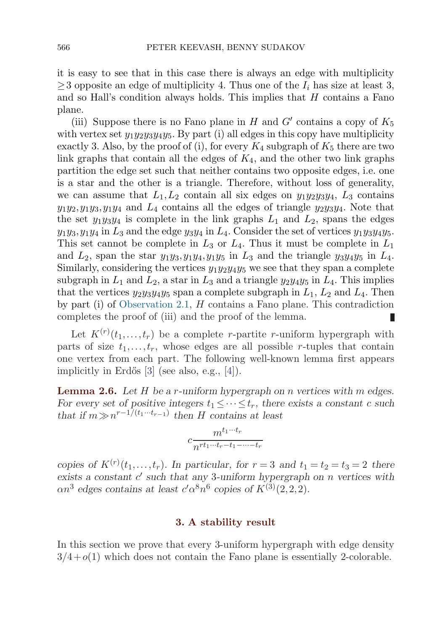<span id="page-5-0"></span>it is easy to see that in this case there is always an edge with multiplicity  $\geq$ 3 opposite an edge of multiplicity 4. Thus one of the  $I_i$  has size at least 3, and so Hall's condition always holds. This implies that  $H$  contains a Fano plane.

(iii) Suppose there is no Fano plane in H and  $G'$  contains a copy of  $K_5$ with vertex set  $y_1y_2y_3y_4y_5$ . By part (i) all edges in this copy have multiplicity exactly 3. Also, by the proof of (i), for every  $K_4$  subgraph of  $K_5$  there are two link graphs that contain all the edges of  $K_4$ , and the other two link graphs partition the edge set such that neither contains two opposite edges, i.e. one is a star and the other is a triangle. Therefore, without loss of generality, we can assume that  $L_1, L_2$  contained by edges on  $y_1y_2y_3y_4$ ,  $L_3$  contains  $y_1y_2, y_1y_3, y_1y_4$  and  $L_4$  contains all the edges of triangle  $y_2y_3y_4$ . Note that the set  $y_1y_3y_4$  is complete in the link graphs  $L_1$  and  $L_2$ , spans the edges  $y_1y_3, y_1y_4$  in  $L_3$  and the edge  $y_3y_4$  in  $L_4$ . Consider the set of vertices  $y_1y_3y_4y_5$ . This set cannot be complete in  $L_3$  or  $L_4$ . Thus it must be complete in  $L_1$ and  $L_2$ , span the star  $y_1y_3, y_1y_4, y_1y_5$  in  $L_3$  and the triangle  $y_3y_4y_5$  in  $L_4$ . Similarly, considering the vertices  $y_1y_2y_4y_5$  we see that they span a complete subgraph in  $L_1$  and  $L_2$ , a star in  $L_3$  and a triangle  $y_2y_4y_5$  in  $L_4$ . This implies that the vertices  $y_2y_3y_4y_5$  span a complete subgraph in  $L_1$ ,  $L_2$  and  $L_4$ . Then by part (i) of [Observation 2.1](#page-3-0), H contains a Fano plane. This contradiction completes the proof of (iii) and the proof of the lemma. П

Let  $K^{(r)}(t_1,\ldots,t_r)$  be a complete *r*-partite *r*-uniform hypergraph with parts of size  $t_1, \ldots, t_r$ , whose edges are all possible r-tuples that contain one vertex from each part. The following well-known lemma first appears implicitly in Erdős  $[3]$  (see also, e.g.,  $[4]$ ).

**Lemma 2.6.** *Let* H *be a* r*-uniform hypergraph on* n *vertices with* m *edges. For every set of positive integers*  $t_1 \leq \cdots \leq t_r$ , there exists a constant c such *that if*  $m \gg n^{r-1/(t_1 \cdots t_{r-1})}$  *then* H *contains at least* 

$$
c\frac{m^{t_1\cdots t_r}}{n^{rt_1\cdots t_r-t_1-\cdots-t_r}}
$$

copies of  $K^{(r)}(t_1,\ldots,t_r)$ . In particular, for  $r=3$  and  $t_1=t_2=t_3=2$  there *exists a constant c' such that any* 3*-uniform hypergraph on n vertices with*  $\alpha n^3$  edges contains at least  $c' \alpha^8 n^6$  copies of  $K^{(3)}(2,2,2)$ .

#### **3. A stability result**

In this section we prove that every 3-uniform hypergraph with edge density  $3/4+o(1)$  which does not contain the Fano plane is essentially 2-colorable.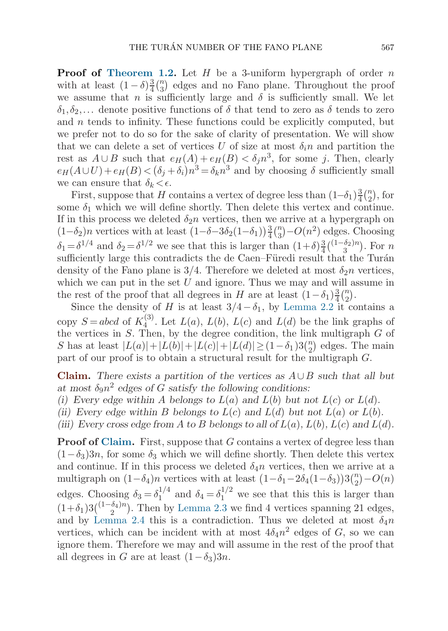<span id="page-6-0"></span>**Proof of [Theorem 1.2.](#page-2-0)** Let H be a 3-uniform hypergraph of order n with at least  $(1 - \delta) \frac{3}{4} {n \choose 3}$  edges and no Fano plane. Throughout the proof we assume that n is sufficiently large and  $\delta$  is sufficiently small. We let  $\delta_1, \delta_2, \ldots$  denote positive functions of  $\delta$  that tend to zero as  $\delta$  tends to zero and  $n$  tends to infinity. These functions could be explicitly computed, but we prefer not to do so for the sake of clarity of presentation. We will show that we can delete a set of vertices U of size at most  $\delta_i n$  and partition the rest as  $A \cup B$  such that  $e_H(A) + e_H(B) < \delta_i n^3$ , for some j. Then, clearly  $e_H(A\cup U)+e_H(B)<(\delta_j+\delta_i)n^3=\delta_k n^3$  and by choosing  $\delta$  sufficiently small we can ensure that  $\delta_k < \epsilon$ .

First, suppose that H contains a vertex of degree less than  $(1-\delta_1)\frac{3}{4}\binom{n}{2}$ , for some  $\delta_1$  which we will define shortly. Then delete this vertex and continue. If in this process we deleted  $\delta_2 n$  vertices, then we arrive at a hypergraph on  $(1-\delta_2)n$  vertices with at least  $(1-\delta-3\delta_2(1-\delta_1))\frac{3}{4}$  $\frac{3}{4} \binom{n}{3} - O(n^2)$  edges. Choosing  $\delta_1 = \delta^{1/4}$  and  $\delta_2 = \delta^{1/2}$  we see that this is larger than  $(1+\delta)\frac{3}{4}\binom{(1-\delta_2)n}{3}$ . For n sufficiently large this contradicts the de Caen–Füredi result that the Turán density of the Fano plane is 3/4. Therefore we deleted at most  $\delta_2 n$  vertices, which we can put in the set  $U$  and ignore. Thus we may and will assume in the rest of the proof that all degrees in H are at least  $(1-\delta_1)\frac{3}{4}\binom{n}{2}$ .

Since the density of H is at least  $3/4-\delta_1$ , by [Lemma 2.2](#page-3-0) it contains a copy  $S = abcd$  of  $K_4^{(3)}$ . Let  $L(a)$ ,  $L(b)$ ,  $L(c)$  and  $L(d)$  be the link graphs of the vertices in  $S$ . Then, by the degree condition, the link multigraph  $G$  of S has at least  $|L(a)| + |L(b)| + |L(c)| + |L(d)| \ge (1 - \delta_1)3{n \choose 2}$  edges. The main part of our proof is to obtain a structural result for the multigraph  $G$ .

**Claim.** *There exists a partition of the vertices as* A∪B *such that all but* at most  $\delta_9 n^2$  edges of G satisfy the following conditions:

- *(i)* Every edge within A belongs to  $L(a)$  and  $L(b)$  but not  $L(c)$  or  $L(d)$ .
- *(ii)* Every edge within B *belongs to*  $L(c)$  *and*  $L(d)$  *but not*  $L(a)$  *or*  $L(b)$ *.*
- *(iii)* Every cross edge from A to B belongs to all of  $L(a)$ ,  $L(b)$ ,  $L(c)$  and  $L(d)$ .

**Proof of Claim.** First, suppose that G contains a vertex of degree less than  $(1-\delta_3)3n$ , for some  $\delta_3$  which we will define shortly. Then delete this vertex and continue. If in this process we deleted  $\delta_4n$  vertices, then we arrive at a multigraph on  $(1-\delta_4)n$  vertices with at least  $(1-\delta_1-2\delta_4(1-\delta_3))3\binom{n}{2}-O(n)$ edges. Choosing  $\delta_3 = \delta_1^{1/4}$  and  $\delta_4 = \delta_1^{1/2}$  we see that this this is larger than  $(1+\delta_1)3\binom{(1-\delta_4)n}{2}$ . Then by [Lemma 2.3](#page-4-0) we find 4 vertices spanning 21 edges, and by [Lemma 2.4](#page-4-0) this is a contradiction. Thus we deleted at most  $\delta_4n$ vertices, which can be incident with at most  $4\delta_4 n^2$  edges of G, so we can ignore them. Therefore we may and will assume in the rest of the proof that all degrees in G are at least  $(1-\delta_3)3n$ .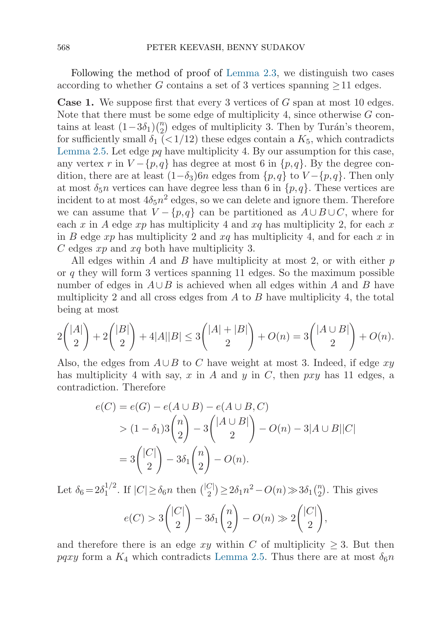Following the method of proof of [Lemma 2.3](#page-4-0), we distinguish two cases according to whether G contains a set of 3 vertices spanning  $\geq 11$  edges.

**Case 1.** We suppose first that every 3 vertices of G span at most 10 edges. Note that there must be some edge of multiplicity 4, since otherwise  $G$  contains at least  $(1-3\delta_1)\binom{n}{2}$  edges of multiplicity 3. Then by Turán's theorem, for sufficiently small  $\delta_1$  (<1/12) these edges contain a  $K_5$ , which contradicts [Lemma 2.5.](#page-4-0) Let edge  $pq$  have multiplicity 4. By our assumption for this case, any vertex r in  $V - \{p, q\}$  has degree at most 6 in  $\{p, q\}$ . By the degree condition, there are at least  $(1-\delta_3)6n$  edges from  $\{p,q\}$  to  $V-\{p,q\}$ . Then only at most  $\delta_5 n$  vertices can have degree less than 6 in  $\{p,q\}$ . These vertices are incident to at most  $4\delta_5 n^2$  edges, so we can delete and ignore them. Therefore we can assume that  $V - \{p,q\}$  can be partitioned as  $A \cup B \cup C$ , where for each x in A edge xp has multiplicity 4 and  $xq$  has multiplicity 2, for each x in B edge xp has multiplicity 2 and xq has multiplicity 4, and for each x in  $C$  edges  $xp$  and  $xq$  both have multiplicity 3.

All edges within A and B have multiplicity at most 2, or with either  $p$ or q they will form 3 vertices spanning 11 edges. So the maximum possible number of edges in  $A\cup B$  is achieved when all edges within A and B have multiplicity 2 and all cross edges from  $A$  to  $B$  have multiplicity 4, the total being at most

$$
2\binom{|A|}{2} + 2\binom{|B|}{2} + 4|A||B| \le 3\binom{|A|+|B|}{2} + O(n) = 3\binom{|A \cup B|}{2} + O(n).
$$

Also, the edges from  $A\cup B$  to C have weight at most 3. Indeed, if edge xy has multiplicity 4 with say, x in A and y in C, then  $pxy$  has 11 edges, a contradiction. Therefore

$$
e(C) = e(G) - e(A \cup B) - e(A \cup B, C)
$$
  
>  $(1 - \delta_1)3 {n \choose 2} - 3 { |A \cup B| \choose 2} - O(n) - 3|A \cup B||C|$   
=  $3 { |C| \choose 2} - 3\delta_1 {n \choose 2} - O(n).$ 

Let  $\delta_6 = 2\delta_1^{1/2}$ . If  $|C| \ge \delta_6 n$  then  $\binom{|C|}{2} \ge 2\delta_1 n^2 - O(n) \gg 3\delta_1 \binom{n}{2}$ . This gives  $e(C) > 3$  $\bigcap$ 2  $\setminus$  $-3\delta_1$  $\sqrt{n}$ 2  $\setminus$  $-O(n) \gg 2$  $\bigcap$ 2  $\setminus$ ,

and therefore there is an edge xy within C of multiplicity  $\geq$  3. But then *pqxy* form a  $K_4$  which contradicts [Lemma 2.5](#page-4-0). Thus there are at most  $\delta_6 n$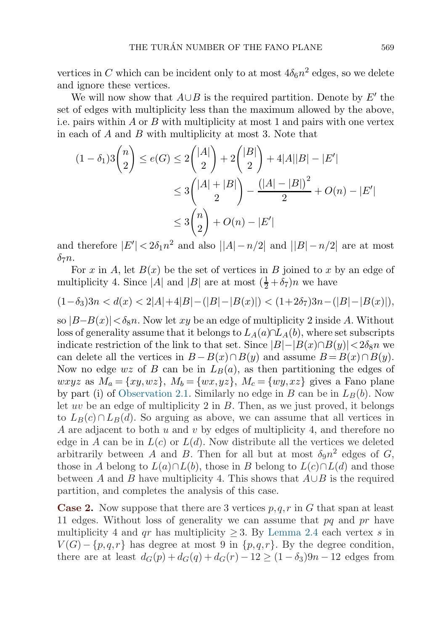<span id="page-8-0"></span>vertices in C which can be incident only to at most  $4\delta_6 n^2$  edges, so we delete and ignore these vertices.

We will now show that  $A \cup B$  is the required partition. Denote by E' the set of edges with multiplicity less than the maximum allowed by the above, i.e. pairs within  $A$  or  $B$  with multiplicity at most 1 and pairs with one vertex in each of A and B with multiplicity at most 3. Note that

$$
(1 - \delta_1)3 \binom{n}{2} \le e(G) \le 2 \binom{|A|}{2} + 2 \binom{|B|}{2} + 4|A||B| - |E'|
$$
  

$$
\le 3 \binom{|A| + |B|}{2} - \frac{(|A| - |B|)^2}{2} + O(n) - |E'|
$$
  

$$
\le 3 \binom{n}{2} + O(n) - |E'|
$$

and therefore  $|E'| < 2\delta_1 n^2$  and also  $||A| - n/2|$  and  $||B| - n/2|$  are at most  $\delta_7n$ .

For x in A, let  $B(x)$  be the set of vertices in B joined to x by an edge of multiplicity 4. Since |A| and |B| are at most  $(\frac{1}{2} + \delta_7)n$  we have

$$
(1 - \delta_3)3n < d(x) < 2|A| + 4|B| - (|B| - |B(x)|) < (1 + 2\delta_7)3n - (|B| - |B(x)|),
$$

so  $|B-B(x)|<\delta_8n$ . Now let xy be an edge of multiplicity 2 inside A. Without loss of generality assume that it belongs to  $L_A(a) \cap L_A(b)$ , where set subscripts indicate restriction of the link to that set. Since  $|B|-|B(x)\cap B(y)|<2\delta_8n$  we can delete all the vertices in  $B - B(x) \cap B(y)$  and assume  $B = B(x) \cap B(y)$ . Now no edge wz of B can be in  $L_B(a)$ , as then partitioning the edges of *wxyz* as  $M_a = \{xy, wz\}$ ,  $M_b = \{wx, yz\}$ ,  $M_c = \{wy, xz\}$  gives a Fano plane by part (i) of [Observation 2.1](#page-3-0). Similarly no edge in B can be in  $L_B(b)$ . Now let  $uv$  be an edge of multiplicity 2 in  $B$ . Then, as we just proved, it belongs to  $L_B(c) \cap L_B(d)$ . So arguing as above, we can assume that all vertices in A are adjacent to both u and v by edges of multiplicity 4, and therefore no edge in A can be in  $L(c)$  or  $L(d)$ . Now distribute all the vertices we deleted arbitrarily between A and B. Then for all but at most  $\delta_9n^2$  edges of G, those in A belong to  $L(a) \cap L(b)$ , those in B belong to  $L(c) \cap L(d)$  and those between A and B have multiplicity 4. This shows that  $A \cup B$  is the required partition, and completes the analysis of this case.

**Case 2.** Now suppose that there are 3 vertices p,q,r in G that span at least 11 edges. Without loss of generality we can assume that  $pq$  and  $pr$  have multiplicity 4 and qr has multiplicity  $\geq$  3. By [Lemma 2.4](#page-4-0) each vertex s in  $V(G) - \{p,q,r\}$  has degree at most 9 in  $\{p,q,r\}$ . By the degree condition, there are at least  $d_G(p) + d_G(q) + d_G(r) - 12 \ge (1 - \delta_3)9n - 12$  edges from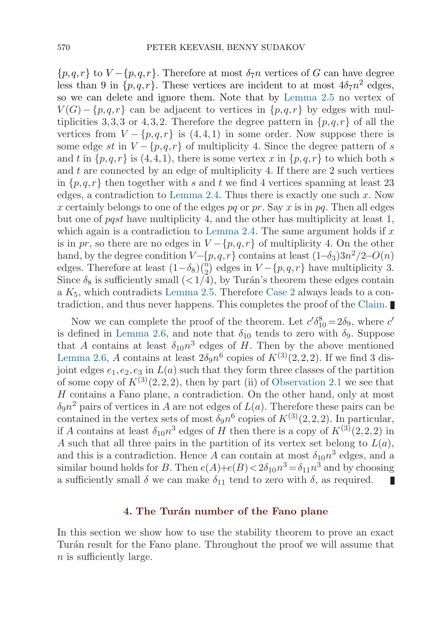$\{p,q,r\}$  to  $V - \{p,q,r\}$ . Therefore at most  $\delta_7n$  vertices of G can have degree less than 9 in  $\{p,q,r\}$ . These vertices are incident to at most  $4\delta_7n^2$  edges, so we can delete and ignore them. Note that by [Lemma 2.5](#page-4-0) no vertex of  $V(G) - \{p,q,r\}$  can be adjacent to vertices in  $\{p,q,r\}$  by edges with multiplicities 3,3,3 or 4,3,2. Therefore the degree pattern in  $\{p,q,r\}$  of all the vertices from  $V - \{p,q,r\}$  is  $(4,4,1)$  in some order. Now suppose there is some edge st in  $V - \{p,q,r\}$  of multiplicity 4. Since the degree pattern of s and t in  $\{p,q,r\}$  is  $(4,4,1)$ , there is some vertex x in  $\{p,q,r\}$  to which both s and  $t$  are connected by an edge of multiplicity 4. If there are  $2$  such vertices in  $\{p,q,r\}$  then together with s and t we find 4 vertices spanning at least 23 edges, a contradiction to [Lemma 2.4.](#page-4-0) Thus there is exactly one such  $x$ . Now x certainly belongs to one of the edges pq or pr. Say x is in pq. Then all edges but one of *pqst* have multiplicity 4, and the other has multiplicity at least 1, which again is a contradiction to [Lemma 2.4](#page-4-0). The same argument holds if  $x$ is in pr, so there are no edges in  $V - \{p,q,r\}$  of multiplicity 4. On the other hand, by the degree condition  $V-\{p,q,r\}$  contains at least  $(1-\delta_3)3n^2/2-O(n)$ edges. Therefore at least  $(1-\delta_8)\binom{n}{2}$  edges in  $V - \{p,q,r\}$  have multiplicity 3. Since  $\delta_8$  is sufficiently small  $\left(\langle 1/4 \rangle, \right)$  by Turán's theorem these edges contain a  $K_5$ , which contradicts [Lemma 2.5.](#page-4-0) Therefore [Case 2](#page-8-0) always leads to a contradiction, and thus never happens. This completes the proof of the [Claim](#page-6-0).

Now we can complete the proof of the theorem. Let  $c'\delta_{10}^8 = 2\delta_9$ , where  $c'$ is defined in [Lemma 2.6](#page-5-0), and note that  $\delta_{10}$  tends to zero with  $\delta_{9}$ . Suppose that A contains at least  $\delta_{10}n^3$  edges of H. Then by the above mentioned [Lemma 2.6](#page-5-0), A contains at least  $2\delta_9n^6$  copies of  $K^{(3)}(2,2,2)$ . If we find 3 disjoint edges  $e_1, e_2, e_3$  in  $L(a)$  such that they form three classes of the partition of some copy of  $K^{(3)}(2,2,2)$ , then by part (ii) of [Observation 2.1](#page-3-0) we see that H contains a Fano plane, a contradiction. On the other hand, only at most  $\delta_9n^2$  pairs of vertices in A are not edges of  $L(a)$ . Therefore these pairs can be contained in the vertex sets of most  $\bar{\delta}_9n^6$  copies of  $K^{(3)}(2,2,2)$ . In particular, if A contains at least  $\delta_{10}n^3$  edges of H then there is a copy of  $K^{(3)}(2,2,2)$  in A such that all three pairs in the partition of its vertex set belong to  $L(a)$ , and this is a contradiction. Hence A can contain at most  $\delta_{10}n^3$  edges, and a similar bound holds for B. Then  $e(A)+e(B)<2\delta_{10}n^3=\delta_{11}n^3$  and by choosing a sufficiently small  $\delta$  we can make  $\delta_{11}$  tend to zero with  $\delta$ , as required. П

## **4. The Tur´an number of the Fano plane**

In this section we show how to use the stability theorem to prove an exact Turán result for the Fano plane. Throughout the proof we will assume that n is sufficiently large.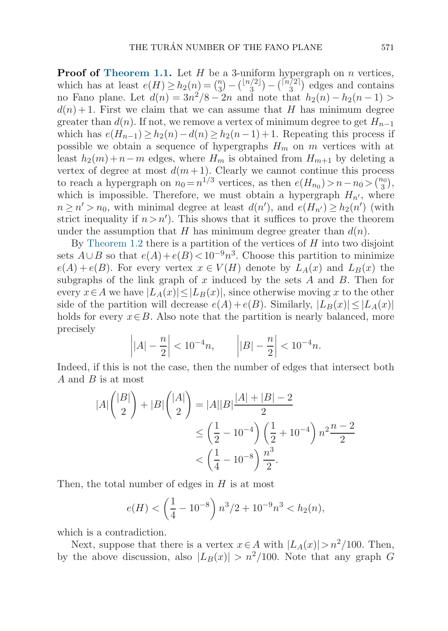**Proof of [Theorem 1.1.](#page-1-0)** Let  $H$  be a 3-uniform hypergraph on  $n$  vertices, which has at least  $e(H) \ge h_2(n) = \binom{n}{3} - \binom{\lfloor n/2 \rfloor}{3} - \binom{\lceil n/2 \rceil}{3}$  edges and contains no Fano plane. Let  $d(n)=3n^2/8 - 2n$  and note that  $h_2(n) - h_2(n-1) >$  $d(n) + 1$ . First we claim that we can assume that H has minimum degree greater than  $d(n)$ . If not, we remove a vertex of minimum degree to get  $H_{n-1}$ which has  $e(H_{n-1}) \geq h_2(n) - d(n) \geq h_2(n-1)+1$ . Repeating this process if possible we obtain a sequence of hypergraphs  $H_m$  on m vertices with at least  $h_2(m)+n-m$  edges, where  $H_m$  is obtained from  $H_{m+1}$  by deleting a vertex of degree at most  $d(m+1)$ . Clearly we cannot continue this process to reach a hypergraph on  $n_0 = n^{1/3}$  vertices, as then  $e(H_{n_0}) > n - n_0 > \binom{n_0}{3}$ , which is impossible. Therefore, we must obtain a hypergraph  $H_{n'}$ , where  $n \geq n' > n_0$ , with minimal degree at least  $d(n')$ , and  $e(H_{n'}) \geq h_2(n')$  (with strict inequality if  $n > n'$ ). This shows that it suffices to prove the theorem under the assumption that H has minimum degree greater than  $d(n)$ .

By [Theorem 1.2](#page-2-0) there is a partition of the vertices of  $H$  into two disjoint sets  $A \cup B$  so that  $e(A) + e(B) < 10^{-9}n^3$ . Choose this partition to minimize  $e(A) + e(B)$ . For every vertex  $x \in V(H)$  denote by  $L_A(x)$  and  $L_B(x)$  the subgraphs of the link graph of x induced by the sets  $A$  and  $B$ . Then for every  $x \in A$  we have  $|L_A(x)| \leq |L_B(x)|$ , since otherwise moving x to the other side of the partition will decrease  $e(A) + e(B)$ . Similarly,  $|L_B(x)| \leq |L_A(x)|$ holds for every  $x \in B$ . Also note that the partition is nearly balanced, more precisely

$$
\left| |A| - \frac{n}{2} \right| < 10^{-4}n, \qquad \left| |B| - \frac{n}{2} \right| < 10^{-4}n.
$$

Indeed, if this is not the case, then the number of edges that intersect both  $A$  and  $B$  is at most

$$
|A| \binom{|B|}{2} + |B| \binom{|A|}{2} = |A||B| \frac{|A| + |B| - 2}{2}
$$
  
\n
$$
\leq \left(\frac{1}{2} - 10^{-4}\right) \left(\frac{1}{2} + 10^{-4}\right) n^2 \frac{n-2}{2}
$$
  
\n
$$
< \left(\frac{1}{4} - 10^{-8}\right) \frac{n^3}{2}.
$$

Then, the total number of edges in  $H$  is at most

$$
e(H) < \left(\frac{1}{4} - 10^{-8}\right) n^3 / 2 + 10^{-9} n^3 < h_2(n),
$$

which is a contradiction.

Next, suppose that there is a vertex  $x \in A$  with  $|L_A(x)| > n^2/100$ . Then, by the above discussion, also  $|L_B(x)| > n^2/100$ . Note that any graph G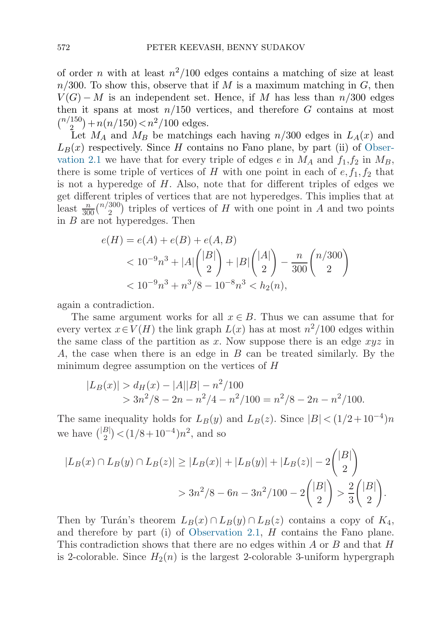of order n with at least  $n^2/100$  edges contains a matching of size at least  $n/300$ . To show this, observe that if M is a maximum matching in G, then  $V(G) - M$  is an independent set. Hence, if M has less than  $n/300$  edges then it spans at most  $n/150$  vertices, and therefore G contains at most  $\binom{n/150}{2} + n(n/150) < n^2/100$  edges.

Let  $M_A$  and  $M_B$  be matchings each having  $n/300$  edges in  $L_A(x)$  and  $L_B(x)$  respectively. Since H contains no Fano plane, by part (ii) of [Obser](#page-3-0)va[tion 2.1](#page-3-0) we have that for every triple of edges e in  $M_A$  and  $f_1, f_2$  in  $M_B$ , there is some triple of vertices of H with one point in each of  $e, f_1, f_2$  that is not a hyperedge of  $H$ . Also, note that for different triples of edges we get different triples of vertices that are not hyperedges. This implies that at least  $\frac{n}{300}$  ( $\frac{n}{2}$ ) triples of vertices of H with one point in A and two points in B are not hyperedges. Then

$$
e(H) = e(A) + e(B) + e(A, B)
$$
  
< 
$$
< 10^{-9}n^3 + |A| \binom{|B|}{2} + |B| \binom{|A|}{2} - \frac{n}{300} \binom{n/300}{2}
$$
  
< 
$$
< 10^{-9}n^3 + n^3/8 - 10^{-8}n^3 < h_2(n),
$$

again a contradiction.

The same argument works for all  $x \in B$ . Thus we can assume that for every vertex  $x \in V(H)$  the link graph  $L(x)$  has at most  $n^2/100$  edges within the same class of the partition as x. Now suppose there is an edge  $xyz$  in A, the case when there is an edge in B can be treated similarly. By the minimum degree assumption on the vertices of H

$$
|L_B(x)| > d_H(x) - |A||B| - n^2/100
$$
  
> 3n<sup>2</sup>/8 - 2n - n<sup>2</sup>/4 - n<sup>2</sup>/100 = n<sup>2</sup>/8 - 2n - n<sup>2</sup>/100.

The same inequality holds for  $L_B(y)$  and  $L_B(z)$ . Since  $|B| < (1/2+10^{-4})n$ we have  $\binom{|B|}{2} < (1/8 + 10^{-4})n^2$ , and so

$$
|L_B(x) \cap L_B(y) \cap L_B(z)| \ge |L_B(x)| + |L_B(y)| + |L_B(z)| - 2\binom{|B|}{2}
$$
  
> 3n<sup>2</sup>/8 - 6n - 3n<sup>2</sup>/100 - 2 $\binom{|B|}{2}$  >  $\frac{2}{3}\binom{|B|}{2}$ .

Then by Turán's theorem  $L_B(x) \cap L_B(y) \cap L_B(z)$  contains a copy of  $K_4$ , and therefore by part (i) of [Observation 2.1,](#page-3-0) H contains the Fano plane. This contradiction shows that there are no edges within  $A$  or  $B$  and that  $H$ is 2-colorable. Since  $H_2(n)$  is the largest 2-colorable 3-uniform hypergraph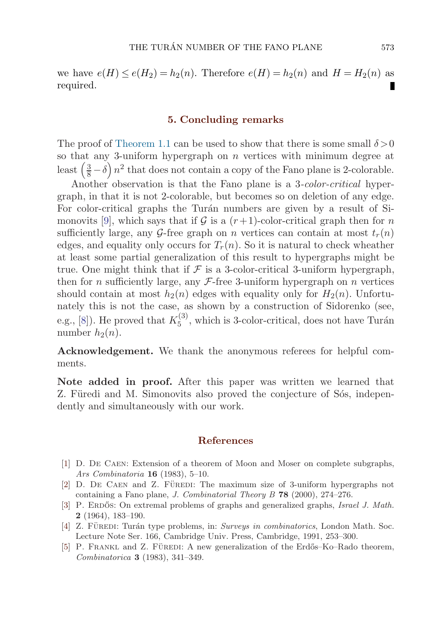<span id="page-12-0"></span>we have  $e(H) \leq e(H_2) = h_2(n)$ . Therefore  $e(H) = h_2(n)$  and  $H = H_2(n)$  as required.

#### **5. Concluding remarks**

The proof of [Theorem 1.1](#page-1-0) can be used to show that there is some small  $\delta > 0$ so that any 3-uniform hypergraph on  $n$  vertices with minimum degree at least  $\left(\frac{3}{8} - \delta\right) n^2$  that does not contain a copy of the Fano plane is 2-colorable.

Another observation is that the Fano plane is a 3-color-critical hypergraph, in that it is not 2-colorable, but becomes so on deletion of any edge. For color-critical graphs the Turán numbers are given by a result of Si-monovits [\[9\]](#page-13-0), which says that if G is a  $(r+1)$ -color-critical graph then for n sufficiently large, any G-free graph on n vertices can contain at most  $t_r(n)$ edges, and equality only occurs for  $T_r(n)$ . So it is natural to check wheather at least some partial generalization of this result to hypergraphs might be true. One might think that if  $\mathcal F$  is a 3-color-critical 3-uniform hypergraph, then for n sufficiently large, any  $\mathcal{F}$ -free 3-uniform hypergraph on n vertices should contain at most  $h_2(n)$  edges with equality only for  $H_2(n)$ . Unfortunately this is not the case, as shown by a construction of Sidorenko (see, e.g., [\[8\]](#page-13-0)). He proved that  $K_5^{(3)}$ , which is 3-color-critical, does not have Turán number  $h_2(n)$ .

**Acknowledgement.** We thank the anonymous referees for helpful comments.

**Note added in proof.** After this paper was written we learned that Z. Füredi and M. Simonovits also proved the conjecture of Sos, independently and simultaneously with our work.

#### **References**

- [1] D. De Caen: Extension of a theorem of Moon and Moser on complete subgraphs, Ars Combinatoria **16** (1983), 5–10.
- [2] D. DE CAEN and Z. FÜREDI: The maximum size of 3-uniform hypergraphs not containing a Fano plane, J. Combinatorial Theory B **78** (2000), 274–276.
- [3] P. ERDOS: On extremal problems of graphs and generalized graphs, *Israel J. Math.* **2** (1964), 183–190.
- [4] Z. FÜREDI: Turán type problems, in: Surveys in combinatorics, London Math. Soc. Lecture Note Ser. 166, Cambridge Univ. Press, Cambridge, 1991, 253–300.
- [5] P. FRANKL and Z. FÜREDI: A new generalization of the Erdős–Ko–Rado theorem, Combinatorica **3** (1983), 341–349.